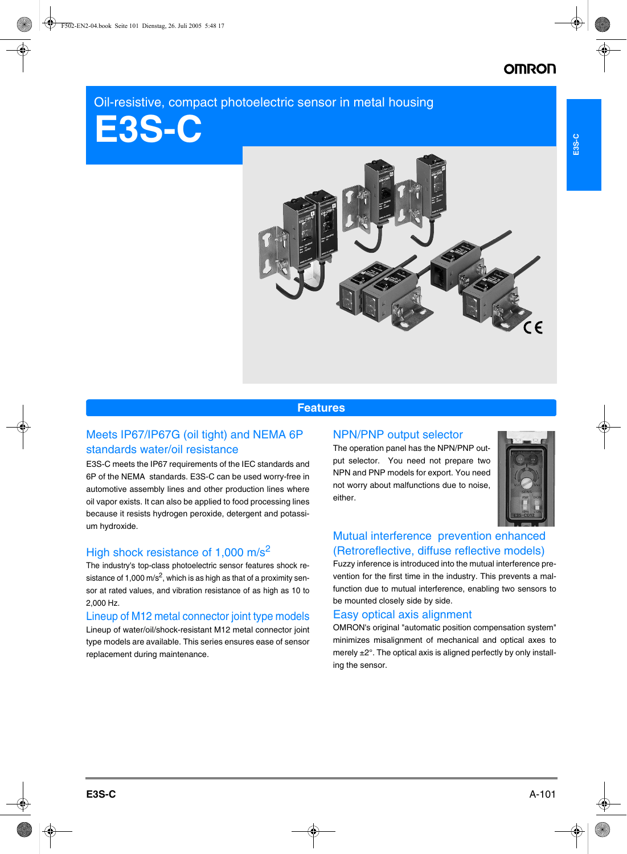## Oil-resistive, compact photoelectric sensor in metal housing





### **Features**

### Meets IP67/IP67G (oil tight) and NEMA 6P standards water/oil resistance

E3S-C meets the IP67 requirements of the IEC standards and 6P of the NEMA standards. E3S-C can be used worry-free in automotive assembly lines and other production lines where oil vapor exists. It can also be applied to food processing lines because it resists hydrogen peroxide, detergent and potassium hydroxide.

## High shock resistance of 1,000 m/s<sup>2</sup>

The industry's top-class photoelectric sensor features shock resistance of 1,000 m/s<sup>2</sup>, which is as high as that of a proximity sensor at rated values, and vibration resistance of as high as 10 to 2,000 Hz.

### Lineup of M12 metal connector joint type models

Lineup of water/oil/shock-resistant M12 metal connector joint type models are available. This series ensures ease of sensor replacement during maintenance.

### NPN/PNP output selector

The operation panel has the NPN/PNP output selector. You need not prepare two NPN and PNP models for export. You need not worry about malfunctions due to noise, either.



## Mutual interference prevention enhanced (Retroreflective, diffuse reflective models)

Fuzzy inference is introduced into the mutual interference prevention for the first time in the industry. This prevents a malfunction due to mutual interference, enabling two sensors to be mounted closely side by side.

### Easy optical axis alignment

OMRON's original "automatic position compensation system" minimizes misalignment of mechanical and optical axes to merely ±2°. The optical axis is aligned perfectly by only installing the sensor.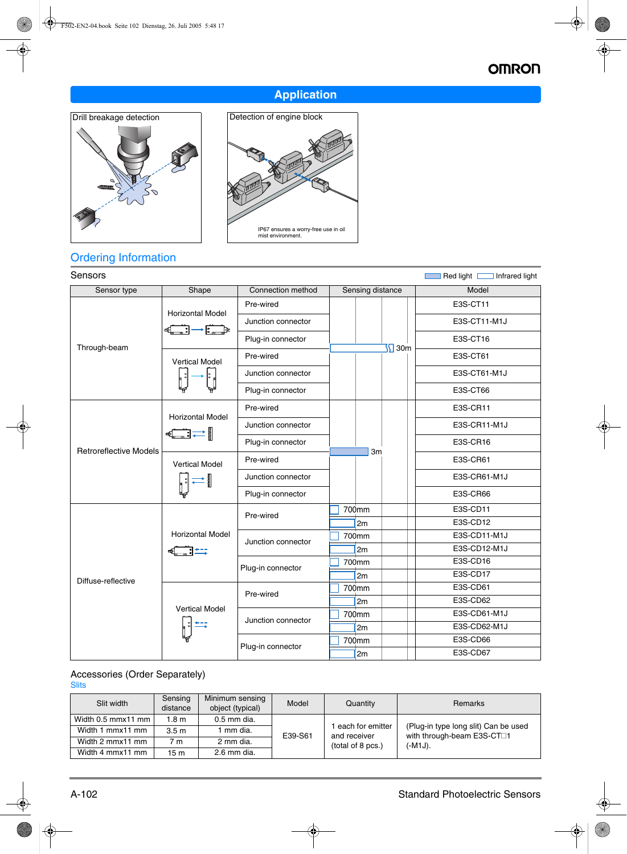# **OMRON**

## **Application**





## Ordering Information

| Sensors<br>Red light <b>Fig. 1</b> Infrared light |                                                                                                                                                                                                                                                                                                                                                                                                                                                                                                  |                    |                  |              |  |  |
|---------------------------------------------------|--------------------------------------------------------------------------------------------------------------------------------------------------------------------------------------------------------------------------------------------------------------------------------------------------------------------------------------------------------------------------------------------------------------------------------------------------------------------------------------------------|--------------------|------------------|--------------|--|--|
| Sensor type                                       | Shape                                                                                                                                                                                                                                                                                                                                                                                                                                                                                            | Connection method  | Sensing distance | Model        |  |  |
|                                                   | <b>Horizontal Model</b>                                                                                                                                                                                                                                                                                                                                                                                                                                                                          | Pre-wired          |                  | E3S-CT11     |  |  |
|                                                   | $\rightarrow$ $\Box$<br>=[ೄ—ෲ]−                                                                                                                                                                                                                                                                                                                                                                                                                                                                  | Junction connector |                  | E3S-CT11-M1J |  |  |
|                                                   |                                                                                                                                                                                                                                                                                                                                                                                                                                                                                                  | Plug-in connector  |                  | E3S-CT16     |  |  |
| Through-beam                                      | <b>Vertical Model</b>                                                                                                                                                                                                                                                                                                                                                                                                                                                                            | Pre-wired          | $5$ 30m          | E3S-CT61     |  |  |
|                                                   |                                                                                                                                                                                                                                                                                                                                                                                                                                                                                                  | Junction connector |                  | E3S-CT61-M1J |  |  |
|                                                   |                                                                                                                                                                                                                                                                                                                                                                                                                                                                                                  | Plug-in connector  |                  | E3S-CT66     |  |  |
|                                                   | <b>Horizontal Model</b>                                                                                                                                                                                                                                                                                                                                                                                                                                                                          | Pre-wired          |                  | E3S-CR11     |  |  |
|                                                   |                                                                                                                                                                                                                                                                                                                                                                                                                                                                                                  | Junction connector |                  | E3S-CR11-M1J |  |  |
| <b>Retroreflective Models</b>                     | $\leftarrow$ $\leftarrow$ $\leftarrow$ $\leftarrow$ $\leftarrow$ $\leftarrow$ $\leftarrow$ $\leftarrow$ $\leftarrow$ $\leftarrow$ $\leftarrow$ $\leftarrow$ $\leftarrow$ $\leftarrow$ $\leftarrow$ $\leftarrow$ $\leftarrow$ $\leftarrow$ $\leftarrow$ $\leftarrow$ $\leftarrow$ $\leftarrow$ $\leftarrow$ $\leftarrow$ $\leftarrow$ $\leftarrow$ $\leftarrow$ $\leftarrow$ $\leftarrow$ $\leftarrow$ $\leftarrow$ $\leftarrow$ $\leftarrow$ $\leftarrow$ $\leftarrow$ $\leftarrow$ $\leftarrow$ | Plug-in connector  |                  | E3S-CR16     |  |  |
|                                                   | <b>Vertical Model</b>                                                                                                                                                                                                                                                                                                                                                                                                                                                                            | Pre-wired          | 3m               | E3S-CR61     |  |  |
|                                                   |                                                                                                                                                                                                                                                                                                                                                                                                                                                                                                  | Junction connector |                  | E3S-CR61-M1J |  |  |
|                                                   |                                                                                                                                                                                                                                                                                                                                                                                                                                                                                                  | Plug-in connector  |                  | E3S-CR66     |  |  |
|                                                   |                                                                                                                                                                                                                                                                                                                                                                                                                                                                                                  | Pre-wired          | 700mm            | E3S-CD11     |  |  |
|                                                   |                                                                                                                                                                                                                                                                                                                                                                                                                                                                                                  |                    | 2m               | E3S-CD12     |  |  |
|                                                   | <b>Horizontal Model</b>                                                                                                                                                                                                                                                                                                                                                                                                                                                                          | Junction connector | 700mm            | E3S-CD11-M1J |  |  |
|                                                   | <b>de de l'altres</b>                                                                                                                                                                                                                                                                                                                                                                                                                                                                            |                    | 2m               | E3S-CD12-M1J |  |  |
|                                                   |                                                                                                                                                                                                                                                                                                                                                                                                                                                                                                  | Plug-in connector  | 700mm            | E3S-CD16     |  |  |
| Diffuse-reflective                                |                                                                                                                                                                                                                                                                                                                                                                                                                                                                                                  |                    | 2m               | E3S-CD17     |  |  |
|                                                   |                                                                                                                                                                                                                                                                                                                                                                                                                                                                                                  | Pre-wired          | 700mm            | E3S-CD61     |  |  |
|                                                   |                                                                                                                                                                                                                                                                                                                                                                                                                                                                                                  |                    | 2m               | E3S-CD62     |  |  |
|                                                   | <b>Vertical Model</b>                                                                                                                                                                                                                                                                                                                                                                                                                                                                            | Junction connector | 700mm            | E3S-CD61-M1J |  |  |
|                                                   |                                                                                                                                                                                                                                                                                                                                                                                                                                                                                                  |                    | 2m               | E3S-CD62-M1J |  |  |
|                                                   |                                                                                                                                                                                                                                                                                                                                                                                                                                                                                                  |                    | 700mm            | E3S-CD66     |  |  |
|                                                   |                                                                                                                                                                                                                                                                                                                                                                                                                                                                                                  | Plug-in connector  | 2m               | E3S-CD67     |  |  |
|                                                   |                                                                                                                                                                                                                                                                                                                                                                                                                                                                                                  |                    |                  |              |  |  |

### Accessories (Order Separately)

**Slits** 

| Slit width         | Sensing<br>distance | Minimum sensing<br>object (typical) | Model   | Quantity                           | Remarks                                                                          |
|--------------------|---------------------|-------------------------------------|---------|------------------------------------|----------------------------------------------------------------------------------|
| Width 0.5 mmx11 mm | 1.8 <sub>m</sub>    | 0.5 mm dia.                         |         |                                    |                                                                                  |
| Width 1 mmx11 mm   | 3.5 <sub>m</sub>    | 1 mm dia.                           | E39-S61 | 1 each for emitter<br>and receiver | (Plug-in type long slit) Can be used<br>with through-beam E3S-CT <sup>[1</sup> ] |
| Width 2 mmx11 mm   | 7 <sub>m</sub>      | 2 mm dia.                           |         | (total of 8 pcs.)                  | (-M1J).                                                                          |
| Width 4 mmx11 mm   | 15 <sub>m</sub>     | 2.6 mm dia.                         |         |                                    |                                                                                  |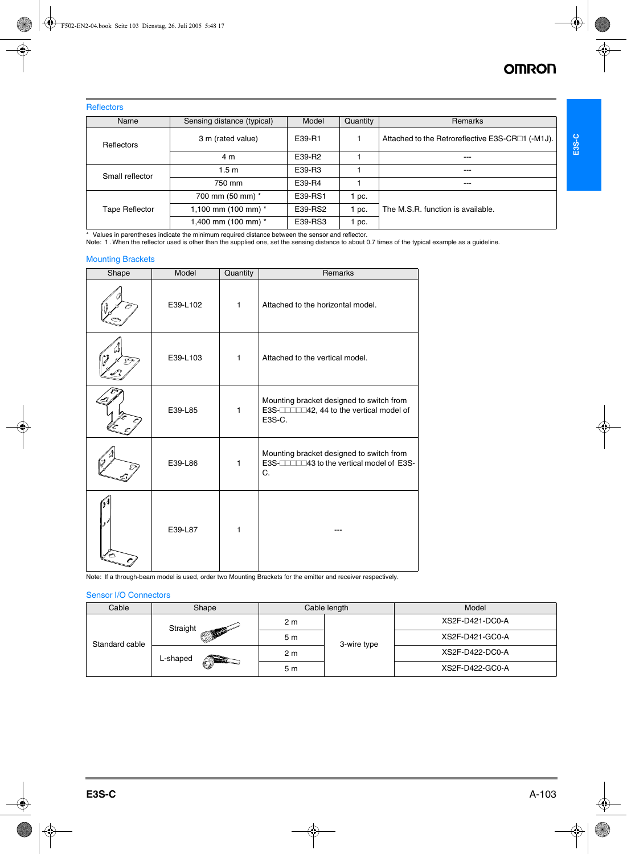### **Reflectors**

| Name                  | Sensing distance (typical) | Model   | Quantity | Remarks                                          |
|-----------------------|----------------------------|---------|----------|--------------------------------------------------|
| Reflectors            | 3 m (rated value)          | E39-R1  |          | Attached to the Retroreflective E3S-CR□1 (-M1J). |
|                       | 4 m                        | E39-R2  |          | $---$                                            |
| Small reflector       | 1.5 <sub>m</sub>           | E39-R3  |          | $---$                                            |
|                       | 750 mm                     | E39-R4  |          | $---$                                            |
|                       | 700 mm (50 mm) *           | E39-RS1 | pc.      |                                                  |
| <b>Tape Reflector</b> | 1,100 mm (100 mm) $*$      | E39-RS2 | pc.      | The M.S.R. function is available.                |
|                       | 1,400 mm (100 mm) *        | E39-RS3 | pc.      |                                                  |

\* Values in parentheses indicate the minimum required distance between the sensor and reflector.

Note: 1 .When the reflector used is other than the supplied one, set the sensing distance to about 0.7 times of the typical example as a guideline.

### Mounting Brackets

| Shape | Model    | Quantity     | Remarks                                                                                       |
|-------|----------|--------------|-----------------------------------------------------------------------------------------------|
|       | E39-L102 | $\mathbf{1}$ | Attached to the horizontal model.                                                             |
|       | E39-L103 | $\mathbf{1}$ | Attached to the vertical model.                                                               |
|       | E39-L85  | $\mathbf{1}$ | Mounting bracket designed to switch from<br>E3S-COMMA 44 to the vertical model of<br>E3S-C.   |
|       | E39-L86  | $\mathbf{1}$ | Mounting bracket designed to switch from<br>E3S-COLLEGGIA to the vertical model of E3S-<br>C. |
|       | E39-L87  | 1            |                                                                                               |

Note: If a through-beam model is used, order two Mounting Brackets for the emitter and receiver respectively.

#### Sensor I/O Connectors

| Cable                                          | Shape          |             | Cable length    | Model           |
|------------------------------------------------|----------------|-------------|-----------------|-----------------|
| Straight<br>Standard cable<br>L-shaped<br>ATHE |                | 2 m         |                 | XS2F-D421-DC0-A |
|                                                | 5 <sub>m</sub> | 3-wire type | XS2F-D421-GC0-A |                 |
|                                                |                | 2 m         |                 | XS2F-D422-DC0-A |
|                                                |                | 5 m         |                 | XS2F-D422-GC0-A |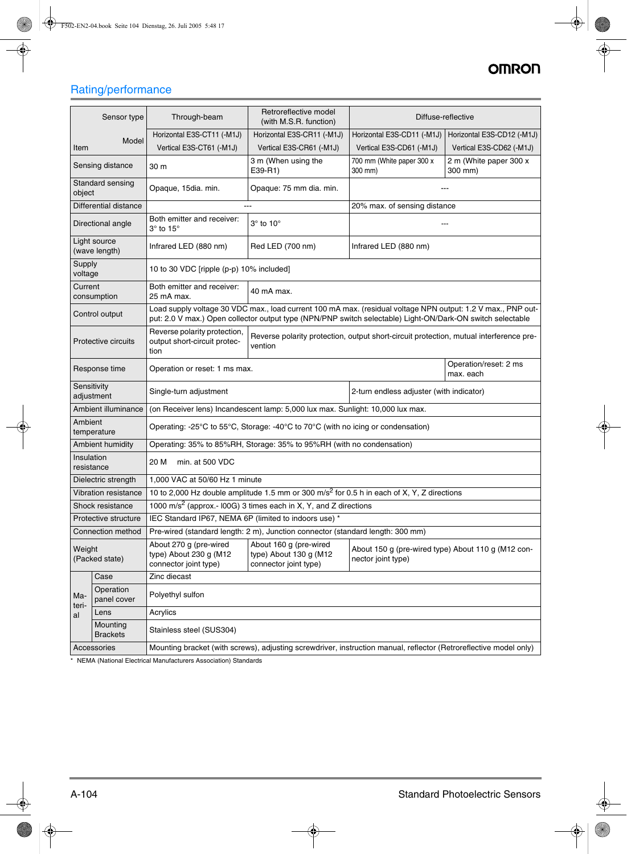# **OMRON**

# Rating/performance

|                                                                                                                                                                                                  | Sensor type                                                 | Through-beam                                                              | Retroreflective model<br>(with M.S.R. function)                                                                                                                                                                            |                                                                          | Diffuse-reflective                |  |  |  |
|--------------------------------------------------------------------------------------------------------------------------------------------------------------------------------------------------|-------------------------------------------------------------|---------------------------------------------------------------------------|----------------------------------------------------------------------------------------------------------------------------------------------------------------------------------------------------------------------------|--------------------------------------------------------------------------|-----------------------------------|--|--|--|
|                                                                                                                                                                                                  | Model                                                       | Horizontal E3S-CT11 (-M1J)                                                | Horizontal E3S-CR11 (-M1J)                                                                                                                                                                                                 | Horizontal E3S-CD11 (-M1J)                                               | Horizontal E3S-CD12 (-M1J)        |  |  |  |
| Item                                                                                                                                                                                             |                                                             | Vertical E3S-CT61 (-M1J)                                                  | Vertical E3S-CR61 (-M1J)                                                                                                                                                                                                   | Vertical E3S-CD61 (-M1J)                                                 | Vertical E3S-CD62 (-M1J)          |  |  |  |
|                                                                                                                                                                                                  | Sensing distance                                            | 30 m                                                                      | 3 m (When using the<br>E39-R1)                                                                                                                                                                                             | 700 mm (White paper 300 x<br>300 mm)                                     | 2 m (White paper 300 x<br>300 mm) |  |  |  |
| object                                                                                                                                                                                           | Standard sensing                                            | Opaque, 15dia. min.                                                       | Opaque: 75 mm dia. min.                                                                                                                                                                                                    |                                                                          |                                   |  |  |  |
| Differential distance<br>20% max. of sensing distance<br>$-$                                                                                                                                     |                                                             |                                                                           |                                                                                                                                                                                                                            |                                                                          |                                   |  |  |  |
|                                                                                                                                                                                                  | Directional angle                                           | Both emitter and receiver:<br>$3^\circ$ to $15^\circ$                     | $3^\circ$ to $10^\circ$                                                                                                                                                                                                    |                                                                          |                                   |  |  |  |
|                                                                                                                                                                                                  | Light source<br>(wave length)                               | Infrared LED (880 nm)                                                     | Red LED (700 nm)                                                                                                                                                                                                           | Infrared LED (880 nm)                                                    |                                   |  |  |  |
| Supply<br>voltage                                                                                                                                                                                |                                                             | 10 to 30 VDC [ripple (p-p) 10% included]                                  |                                                                                                                                                                                                                            |                                                                          |                                   |  |  |  |
| Current                                                                                                                                                                                          | consumption                                                 | Both emitter and receiver:<br>25 mA max.                                  | 40 mA max.                                                                                                                                                                                                                 |                                                                          |                                   |  |  |  |
|                                                                                                                                                                                                  | Control output                                              |                                                                           | Load supply voltage 30 VDC max., load current 100 mA max. (residual voltage NPN output: 1.2 V max., PNP out-<br>put: 2.0 V max.) Open collector output type (NPN/PNP switch selectable) Light-ON/Dark-ON switch selectable |                                                                          |                                   |  |  |  |
| Reverse polarity protection,<br>Reverse polarity protection, output short-circuit protection, mutual interference pre-<br>output short-circuit protec-<br>Protective circuits<br>vention<br>tion |                                                             |                                                                           |                                                                                                                                                                                                                            |                                                                          |                                   |  |  |  |
|                                                                                                                                                                                                  | Response time<br>Operation or reset: 1 ms max.<br>max. each |                                                                           |                                                                                                                                                                                                                            |                                                                          | Operation/reset: 2 ms             |  |  |  |
| Sensitivity                                                                                                                                                                                      | adjustment                                                  | Single-turn adjustment                                                    |                                                                                                                                                                                                                            | 2-turn endless adjuster (with indicator)                                 |                                   |  |  |  |
|                                                                                                                                                                                                  | Ambient illuminance                                         |                                                                           | (on Receiver lens) Incandescent lamp: 5,000 lux max. Sunlight: 10,000 lux max.                                                                                                                                             |                                                                          |                                   |  |  |  |
| Ambient                                                                                                                                                                                          | temperature                                                 |                                                                           | Operating: -25 $\degree$ C to 55 $\degree$ C, Storage: -40 $\degree$ C to 70 $\degree$ C (with no icing or condensation)                                                                                                   |                                                                          |                                   |  |  |  |
|                                                                                                                                                                                                  | Ambient humidity                                            |                                                                           | Operating: 35% to 85%RH, Storage: 35% to 95%RH (with no condensation)                                                                                                                                                      |                                                                          |                                   |  |  |  |
| Insulation<br>resistance                                                                                                                                                                         |                                                             | 20 M<br>min. at 500 VDC                                                   |                                                                                                                                                                                                                            |                                                                          |                                   |  |  |  |
|                                                                                                                                                                                                  | Dielectric strength                                         | 1,000 VAC at 50/60 Hz 1 minute                                            |                                                                                                                                                                                                                            |                                                                          |                                   |  |  |  |
|                                                                                                                                                                                                  | Vibration resistance                                        |                                                                           | 10 to 2,000 Hz double amplitude 1.5 mm or 300 m/s <sup>2</sup> for 0.5 h in each of X, Y, Z directions                                                                                                                     |                                                                          |                                   |  |  |  |
|                                                                                                                                                                                                  | Shock resistance                                            |                                                                           | 1000 m/s <sup>2</sup> (approx.- l00G) 3 times each in X, Y, and Z directions                                                                                                                                               |                                                                          |                                   |  |  |  |
|                                                                                                                                                                                                  | Protective structure                                        |                                                                           | IEC Standard IP67, NEMA 6P (limited to indoors use)                                                                                                                                                                        |                                                                          |                                   |  |  |  |
|                                                                                                                                                                                                  | Connection method                                           |                                                                           | Pre-wired (standard length: 2 m), Junction connector (standard length: 300 mm)                                                                                                                                             |                                                                          |                                   |  |  |  |
| Weight<br>(Packed state)                                                                                                                                                                         |                                                             | About 270 g (pre-wired<br>type) About 230 g (M12<br>connector joint type) | About 160 g (pre-wired<br>type) About 130 g (M12<br>connector joint type)                                                                                                                                                  | About 150 g (pre-wired type) About 110 g (M12 con-<br>nector joint type) |                                   |  |  |  |
|                                                                                                                                                                                                  | Case                                                        | Zinc diecast                                                              |                                                                                                                                                                                                                            |                                                                          |                                   |  |  |  |
| Ma-<br>teri-                                                                                                                                                                                     | Operation<br>panel cover                                    | Polyethyl sulfon                                                          |                                                                                                                                                                                                                            |                                                                          |                                   |  |  |  |
| al                                                                                                                                                                                               | Lens                                                        | Acrylics                                                                  |                                                                                                                                                                                                                            |                                                                          |                                   |  |  |  |
|                                                                                                                                                                                                  | Mounting<br><b>Brackets</b>                                 | Stainless steel (SUS304)                                                  |                                                                                                                                                                                                                            |                                                                          |                                   |  |  |  |
| Accessories<br>Mounting bracket (with screws), adjusting screwdriver, instruction manual, reflector (Retroreflective model only)                                                                 |                                                             |                                                                           |                                                                                                                                                                                                                            |                                                                          |                                   |  |  |  |

\* NEMA (National Electrical Manufacturers Association) Standards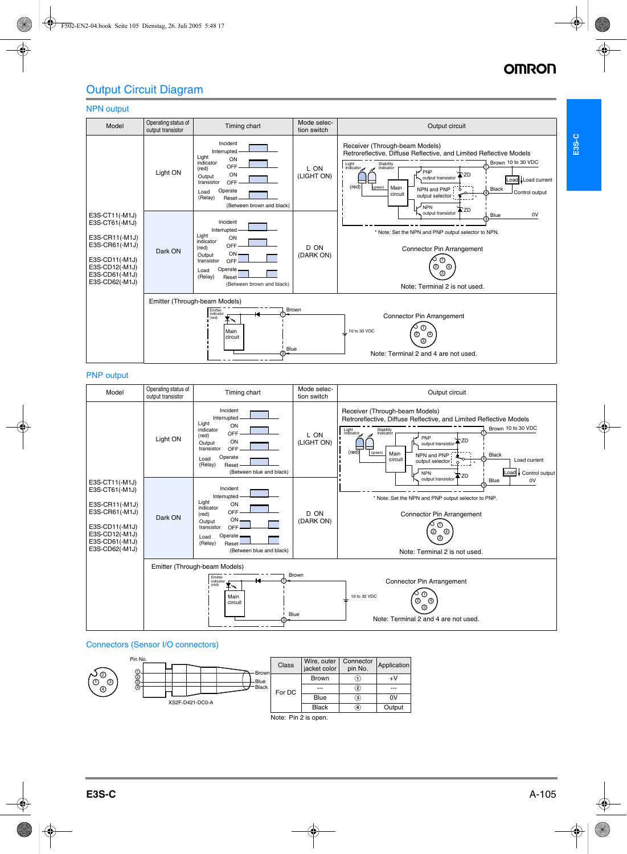**E3S-C**

## Output Circuit Diagram

#### NPN output



#### PNP output

| Model                                                                                                                                        | Operating status of<br>Timing chart<br>output transistor                                                                                                                                                                |                                                                                                                                                                                          | Mode selec-<br>tion switch | Output circuit                                                                                                                                                                                                                                                                                                                                                                              |
|----------------------------------------------------------------------------------------------------------------------------------------------|-------------------------------------------------------------------------------------------------------------------------------------------------------------------------------------------------------------------------|------------------------------------------------------------------------------------------------------------------------------------------------------------------------------------------|----------------------------|---------------------------------------------------------------------------------------------------------------------------------------------------------------------------------------------------------------------------------------------------------------------------------------------------------------------------------------------------------------------------------------------|
|                                                                                                                                              | Light ON                                                                                                                                                                                                                | Incident<br>Interrupted<br>Light<br>ON<br>indicator<br>OFF<br>(red)<br>ON<br>Output<br>transistor<br>OFF<br>Operate<br>Load<br>(Relay)<br>Reset<br>(Between blue and black)              | L ON<br>(LIGHT ON)         | Receiver (Through-beam Models)<br>Retroreflective, Diffuse Reflective, and Limited Reflective Models<br>Brown 10 to 30 VDC<br>Stability<br>indicator<br>Light indicator<br>PNP<br>ʻZD<br>output transistor<br>(red)<br>(green)<br>Main<br>Black<br>NPN and PNP<br>circuit<br>Load current<br>output selector <sup>1</sup><br>$\circ$<br>$1 - 8$<br>Load Control output<br><b>NPN</b><br>ÑZD |
| E3S-CT11(-M1J)<br>E3S-CT61(-M1J)<br>E3S-CR11(-M1J)<br>E3S-CR61(-M1J)<br>E3S-CD11(-M1J)<br>E3S-CD12(-M1J)<br>E3S-CD61(-M1J)<br>E3S-CD62(-M1J) | Dark ON                                                                                                                                                                                                                 | Incident<br>Interrupted<br>Light<br>ON<br>indicator<br><b>OFF</b><br>(red)<br>$ON -$<br>Output<br>transistor<br>OFF<br>Operate -<br>Load<br>(Relay)<br>Reset<br>(Between blue and black) | D ON<br>(DARK ON)          | output transistor<br>Blue<br>0V<br>* Note: Set the NPN and PNP output selector to PNP.<br>Connector Pin Arrangement<br>⊕<br>☺<br>⊕<br>⊚<br>Note: Terminal 2 is not used.                                                                                                                                                                                                                    |
|                                                                                                                                              | Emitter (Through-beam Models)<br>Brown<br>Emitter<br>indicator<br><b>Connector Pin Arrangement</b><br>(red)<br>▼<br>➀<br>Main<br>10 to 30 VDC<br>⊕<br>➁<br>circuit<br>⊚<br>Blue<br>Note: Terminal 2 and 4 are not used. |                                                                                                                                                                                          |                            |                                                                                                                                                                                                                                                                                                                                                                                             |

### Connectors (Sensor I/O connectors)



Note: Pin 2 is open.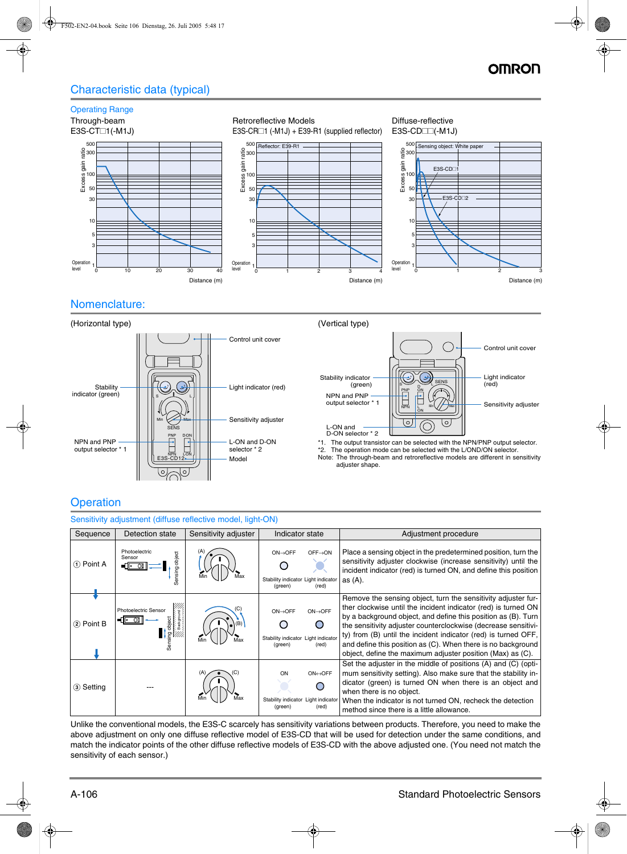## Characteristic data (typical)



### Nomenclature:







\*1. The output transistor can be selected with the NPN/PNP output selector. \*2. The operation mode can be selected with the L/OND/ON selector. Note: The through-beam and retroreflective models are different in sensitivity adjuster shape.

## **Operation**

| Sensitivity adjustment (diffuse reflective model, light-ON) |                                              |                      |                                                                                                         |                                                                                                                                                                                                                                                                                                                                                                                                                                                                    |  |  |
|-------------------------------------------------------------|----------------------------------------------|----------------------|---------------------------------------------------------------------------------------------------------|--------------------------------------------------------------------------------------------------------------------------------------------------------------------------------------------------------------------------------------------------------------------------------------------------------------------------------------------------------------------------------------------------------------------------------------------------------------------|--|--|
| Sequence                                                    | Detection state                              | Sensitivity adjuster | Indicator state                                                                                         | Adjustment procedure                                                                                                                                                                                                                                                                                                                                                                                                                                               |  |  |
| (1) Point A                                                 | Photoelectric<br>object<br>Sensor<br>Sensing |                      | $OFF \rightarrow ON$<br>$ON \rightarrow$ OFF<br>Stability indicator Light indicator<br>(red)<br>(green) | Place a sensing object in the predetermined position, turn the<br>sensitivity adjuster clockwise (increase sensitivity) until the<br>incident indicator (red) is turned ON, and define this position<br>as $(A)$ .                                                                                                                                                                                                                                                 |  |  |
| (2) Point B                                                 | <b>Photoelectric Sensor</b>                  | (B)<br>Max           | $ON \rightarrow$ OFF<br>$ON \rightarrow$ OFF<br>Stability indicator Light indicator<br>(red)<br>(green) | Remove the sensing object, turn the sensitivity adjuster fur-<br>ther clockwise until the incident indicator (red) is turned ON<br>by a background object, and define this position as (B). Turn<br>the sensitivity adjuster counterclockwise (decrease sensitivi-<br>ty) from (B) until the incident indicator (red) is turned OFF,<br>and define this position as (C). When there is no background<br>object, define the maximum adjuster position (Max) as (C). |  |  |
| (3) Setting                                                 |                                              |                      | ON⇔OFF<br>ON<br>Stability indicator Light indicator<br>(red)<br>(green)                                 | Set the adjuster in the middle of positions (A) and (C) (opti-<br>mum sensitivity setting). Also make sure that the stability in-<br>dicator (green) is turned ON when there is an object and<br>when there is no object.<br>When the indicator is not turned ON, recheck the detection<br>method since there is a little allowance.                                                                                                                               |  |  |

Unlike the conventional models, the E3S-C scarcely has sensitivity variations between products. Therefore, you need to make the above adjustment on only one diffuse reflective model of E3S-CD that will be used for detection under the same conditions, and match the indicator points of the other diffuse reflective models of E3S-CD with the above adjusted one. (You need not match the sensitivity of each sensor.)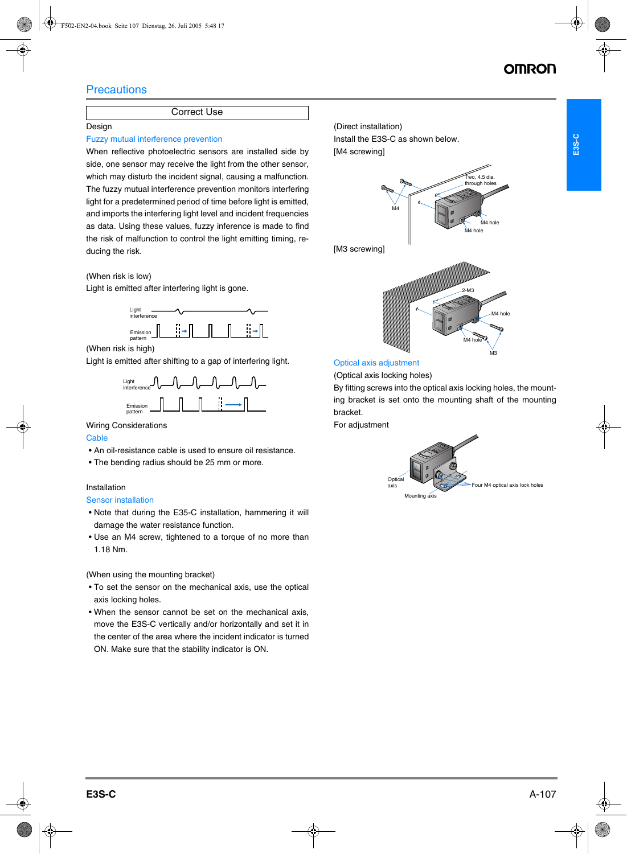## **Precautions**

### Correct Use

### Design

### Fuzzy mutual interference prevention

When reflective photoelectric sensors are installed side by side, one sensor may receive the light from the other sensor, which may disturb the incident signal, causing a malfunction. The fuzzy mutual interference prevention monitors interfering light for a predetermined period of time before light is emitted, and imports the interfering light level and incident frequencies as data. Using these values, fuzzy inference is made to find the risk of malfunction to control the light emitting timing, reducing the risk.

### (When risk is low)

Light is emitted after interfering light is gone.



(When risk is high)

Light is emitted after shifting to a gap of interfering light.



### Wiring Considerations

### **Cable**

- An oil-resistance cable is used to ensure oil resistance.
- The bending radius should be 25 mm or more.

### Installation

### Sensor installation

- Note that during the E35-C installation, hammering it will damage the water resistance function.
- Use an M4 screw, tightened to a torque of no more than 1.18 Nm.

### (When using the mounting bracket)

- To set the sensor on the mechanical axis, use the optical axis locking holes.
- When the sensor cannot be set on the mechanical axis, move the E3S-C vertically and/or horizontally and set it in the center of the area where the incident indicator is turned ON. Make sure that the stability indicator is ON.



### Optical axis adjustment

(Optical axis locking holes)

By fitting screws into the optical axis locking holes, the mounting bracket is set onto the mounting shaft of the mounting bracket.

For adjustment

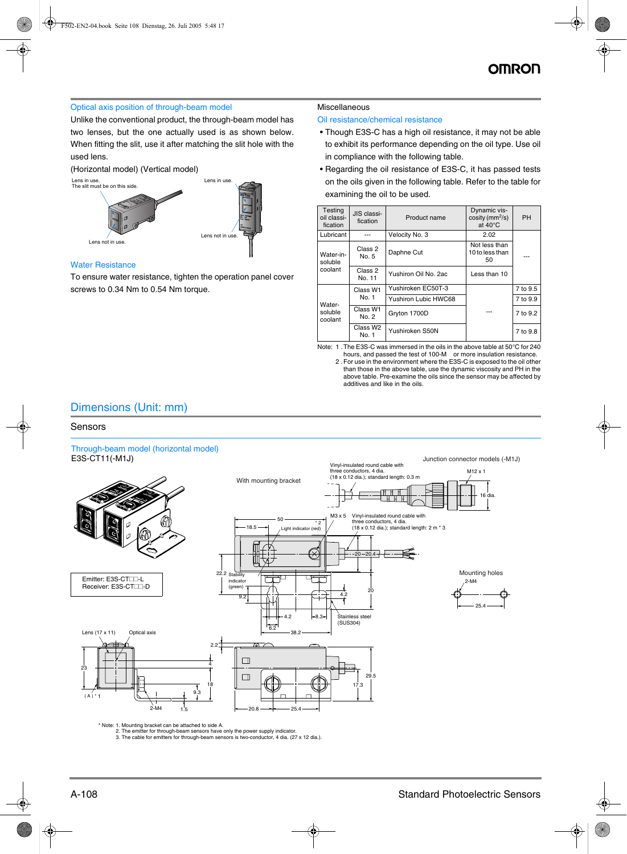### Optical axis position of through-beam model

Unlike the conventional product, the through-beam model has two lenses, but the one actually used is as shown below. When fitting the slit, use it after matching the slit hole with the used lens.

(Horizontal model) (Vertical model)



### Water Resistance

To ensure water resistance, tighten the operation panel cover screws to 0.34 Nm to 0.54 Nm torque.

#### Miscellaneous

#### Oil resistance/chemical resistance

- Though E3S-C has a high oil resistance, it may not be able to exhibit its performance depending on the oil type. Use oil in compliance with the following table.
- Regarding the oil resistance of E3S-C, it has passed tests on the oils given in the following table. Refer to the table for examining the oil to be used.

| Testing<br>oil classi-<br>fication | JIS classi-<br>fication | Product name                | Dynamic vis-<br>$\cos$ ity (mm <sup>2</sup> /s)<br>at $40^{\circ}$ C | PH       |
|------------------------------------|-------------------------|-----------------------------|----------------------------------------------------------------------|----------|
| Lubricant                          |                         | Velocity No. 3              | 2.02                                                                 |          |
| Water-in-<br>soluble<br>coolant    | Class 2<br>No. 5        | Daphne Cut                  | Not less than<br>10 to less than<br>50                               |          |
|                                    | Class 2<br>No. 11       | Yushiron Oil No. 2ac        | Less than 10                                                         |          |
|                                    | Class W1                | Yushiroken EC50T-3          |                                                                      | 7 to 9.5 |
| Water-                             | No. 1                   | <b>Yushiron Lubic HWC68</b> |                                                                      | 7 to 9.9 |
| soluble<br>coolant                 | Class W1<br>No. 2       | Gryton 1700D                |                                                                      | 7 to 9.2 |
|                                    | Class W2<br>No. 1       | Yushiroken S50N             |                                                                      | 7 to 9.8 |

Note: 1 .The E3S-C was immersed in the oils in the above table at 50°C for 240

hours, and passed the test of 100-M or more insulation resistance. 2 .For use in the environment where the E3S-C is exposed to the oil other than those in the above table, use the dynamic viscosity and PH in the above table. Pre-examine the oils since the sensor may be affected by additives and like in the oils.

### Dimensions (Unit: mm)

### Sensors

## Through-beam model (horizontal model)



\* Note: 1. Mounting bracket can be attached to side A.

2. The emitter for through-beam sensors have only the power supply indicator. 3. The cable for emitters for through-beam sensors is two-conductor, 4 dia. (27 x 12 dia.).